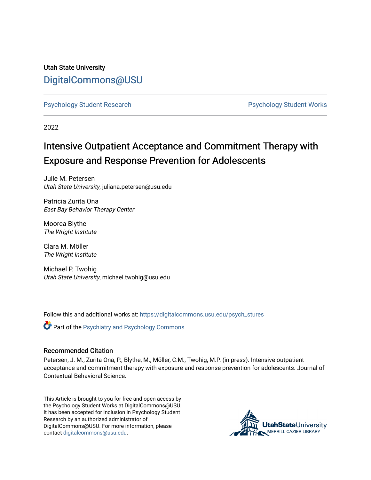Utah State University [DigitalCommons@USU](https://digitalcommons.usu.edu/)

[Psychology Student Research](https://digitalcommons.usu.edu/psych_stures) [Psychology Student Works](https://digitalcommons.usu.edu/psych_student) 

2022

# Intensive Outpatient Acceptance and Commitment Therapy with Exposure and Response Prevention for Adolescents

Julie M. Petersen Utah State University, juliana.petersen@usu.edu

Patricia Zurita Ona East Bay Behavior Therapy Center

Moorea Blythe The Wright Institute

Clara M. Möller The Wright Institute

Michael P. Twohig Utah State University, michael.twohig@usu.edu

Follow this and additional works at: [https://digitalcommons.usu.edu/psych\\_stures](https://digitalcommons.usu.edu/psych_stures?utm_source=digitalcommons.usu.edu%2Fpsych_stures%2F67&utm_medium=PDF&utm_campaign=PDFCoverPages) 

**Part of the Psychiatry and Psychology Commons** 

## Recommended Citation

Petersen, J. M., Zurita Ona, P., Blythe, M., Möller, C.M., Twohig, M.P. (in press). Intensive outpatient acceptance and commitment therapy with exposure and response prevention for adolescents. Journal of Contextual Behavioral Science.

This Article is brought to you for free and open access by the Psychology Student Works at DigitalCommons@USU. It has been accepted for inclusion in Psychology Student Research by an authorized administrator of DigitalCommons@USU. For more information, please contact [digitalcommons@usu.edu](mailto:digitalcommons@usu.edu).

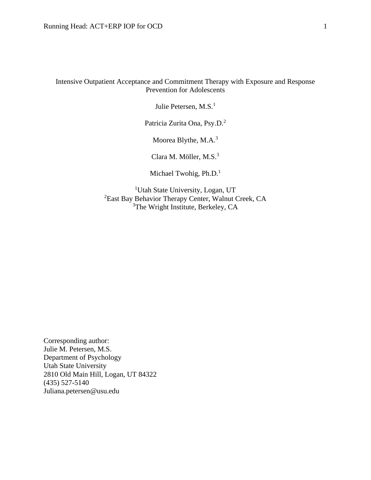Intensive Outpatient Acceptance and Commitment Therapy with Exposure and Response Prevention for Adolescents

Julie Petersen, M.S.<sup>1</sup>

Patricia Zurita Ona, Psy.D.<sup>2</sup>

Moorea Blythe, M.A.<sup>3</sup>

Clara M. Möller, M.S.<sup>3</sup>

Michael Twohig, Ph.D.<sup>1</sup>

<sup>1</sup>Utah State University, Logan, UT <sup>2</sup>East Bay Behavior Therapy Center, Walnut Creek, CA <sup>3</sup>The Wright Institute, Berkeley, CA

Corresponding author: Julie M. Petersen, M.S. Department of Psychology Utah State University 2810 Old Main Hill, Logan, UT 84322 (435) 527-5140 Juliana.petersen@usu.edu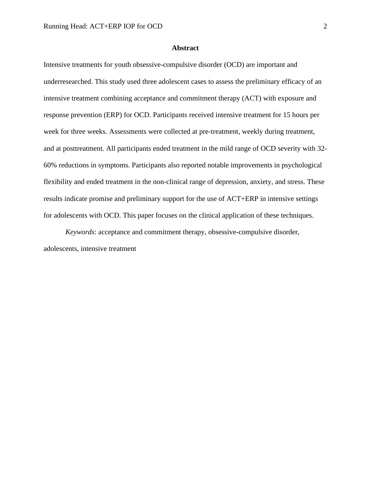### **Abstract**

Intensive treatments for youth obsessive-compulsive disorder (OCD) are important and underresearched. This study used three adolescent cases to assess the preliminary efficacy of an intensive treatment combining acceptance and commitment therapy (ACT) with exposure and response prevention (ERP) for OCD. Participants received intensive treatment for 15 hours per week for three weeks. Assessments were collected at pre-treatment, weekly during treatment, and at posttreatment. All participants ended treatment in the mild range of OCD severity with 32- 60% reductions in symptoms. Participants also reported notable improvements in psychological flexibility and ended treatment in the non-clinical range of depression, anxiety, and stress. These results indicate promise and preliminary support for the use of ACT+ERP in intensive settings for adolescents with OCD. This paper focuses on the clinical application of these techniques.

*Keywords*: acceptance and commitment therapy, obsessive-compulsive disorder, adolescents, intensive treatment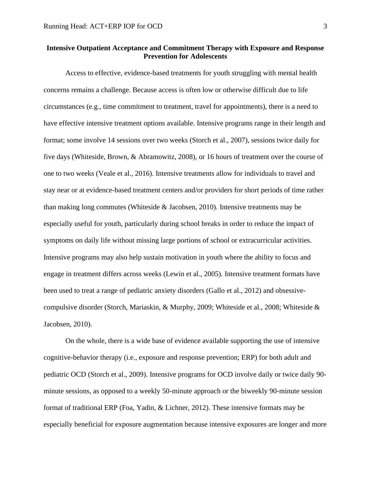## **Intensive Outpatient Acceptance and Commitment Therapy with Exposure and Response Prevention for Adolescents**

Access to effective, evidence-based treatments for youth struggling with mental health concerns remains a challenge. Because access is often low or otherwise difficult due to life circumstances (e.g., time commitment to treatment, travel for appointments), there is a need to have effective intensive treatment options available. Intensive programs range in their length and format; some involve 14 sessions over two weeks (Storch et al., 2007), sessions twice daily for five days (Whiteside, Brown, & Abramowitz, 2008), or 16 hours of treatment over the course of one to two weeks (Veale et al., 2016). Intensive treatments allow for individuals to travel and stay near or at evidence-based treatment centers and/or providers for short periods of time rather than making long commutes (Whiteside & Jacobsen, 2010). Intensive treatments may be especially useful for youth, particularly during school breaks in order to reduce the impact of symptoms on daily life without missing large portions of school or extracurricular activities. Intensive programs may also help sustain motivation in youth where the ability to focus and engage in treatment differs across weeks (Lewin et al., 2005). Intensive treatment formats have been used to treat a range of pediatric anxiety disorders (Gallo et al., 2012) and obsessivecompulsive disorder (Storch, Mariaskin, & Murphy, 2009; Whiteside et al., 2008; Whiteside & Jacobsen, 2010).

On the whole, there is a wide base of evidence available supporting the use of intensive cognitive-behavior therapy (i.e., exposure and response prevention; ERP) for both adult and pediatric OCD (Storch et al., 2009). Intensive programs for OCD involve daily or twice daily 90 minute sessions, as opposed to a weekly 50-minute approach or the biweekly 90-minute session format of traditional ERP (Foa, Yadin, & Lichner, 2012). These intensive formats may be especially beneficial for exposure augmentation because intensive exposures are longer and more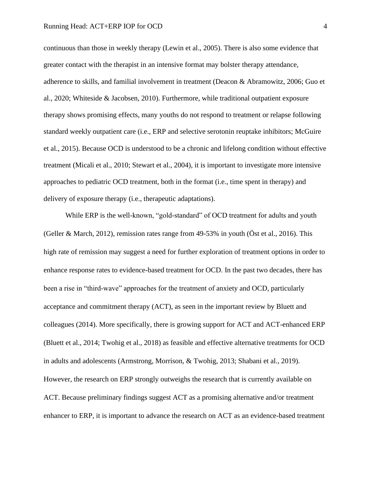continuous than those in weekly therapy (Lewin et al., 2005). There is also some evidence that greater contact with the therapist in an intensive format may bolster therapy attendance, adherence to skills, and familial involvement in treatment (Deacon & Abramowitz, 2006; Guo et al., 2020; Whiteside & Jacobsen, 2010). Furthermore, while traditional outpatient exposure therapy shows promising effects, many youths do not respond to treatment or relapse following standard weekly outpatient care (i.e., ERP and selective serotonin reuptake inhibitors; McGuire et al., 2015). Because OCD is understood to be a chronic and lifelong condition without effective treatment (Micali et al., 2010; Stewart et al., 2004), it is important to investigate more intensive approaches to pediatric OCD treatment, both in the format (i.e., time spent in therapy) and delivery of exposure therapy (i.e., therapeutic adaptations).

While ERP is the well-known, "gold-standard" of OCD treatment for adults and youth (Geller & March, 2012), remission rates range from 49-53% in youth (Öst et al., 2016). This high rate of remission may suggest a need for further exploration of treatment options in order to enhance response rates to evidence-based treatment for OCD. In the past two decades, there has been a rise in "third-wave" approaches for the treatment of anxiety and OCD, particularly acceptance and commitment therapy (ACT), as seen in the important review by Bluett and colleagues (2014). More specifically, there is growing support for ACT and ACT-enhanced ERP (Bluett et al., 2014; Twohig et al., 2018) as feasible and effective alternative treatments for OCD in adults and adolescents (Armstrong, Morrison, & Twohig, 2013; Shabani et al., 2019). However, the research on ERP strongly outweighs the research that is currently available on ACT. Because preliminary findings suggest ACT as a promising alternative and/or treatment enhancer to ERP, it is important to advance the research on ACT as an evidence-based treatment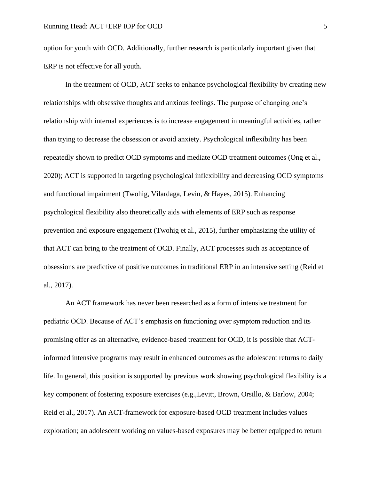option for youth with OCD. Additionally, further research is particularly important given that ERP is not effective for all youth.

In the treatment of OCD, ACT seeks to enhance psychological flexibility by creating new relationships with obsessive thoughts and anxious feelings. The purpose of changing one's relationship with internal experiences is to increase engagement in meaningful activities, rather than trying to decrease the obsession or avoid anxiety. Psychological inflexibility has been repeatedly shown to predict OCD symptoms and mediate OCD treatment outcomes (Ong et al., 2020); ACT is supported in targeting psychological inflexibility and decreasing OCD symptoms and functional impairment (Twohig, Vilardaga, Levin, & Hayes, 2015). Enhancing psychological flexibility also theoretically aids with elements of ERP such as response prevention and exposure engagement (Twohig et al., 2015), further emphasizing the utility of that ACT can bring to the treatment of OCD. Finally, ACT processes such as acceptance of obsessions are predictive of positive outcomes in traditional ERP in an intensive setting (Reid et al., 2017).

An ACT framework has never been researched as a form of intensive treatment for pediatric OCD. Because of ACT's emphasis on functioning over symptom reduction and its promising offer as an alternative, evidence-based treatment for OCD, it is possible that ACTinformed intensive programs may result in enhanced outcomes as the adolescent returns to daily life. In general, this position is supported by previous work showing psychological flexibility is a key component of fostering exposure exercises (e.g.,Levitt, Brown, Orsillo, & Barlow, 2004; Reid et al., 2017). An ACT-framework for exposure-based OCD treatment includes values exploration; an adolescent working on values-based exposures may be better equipped to return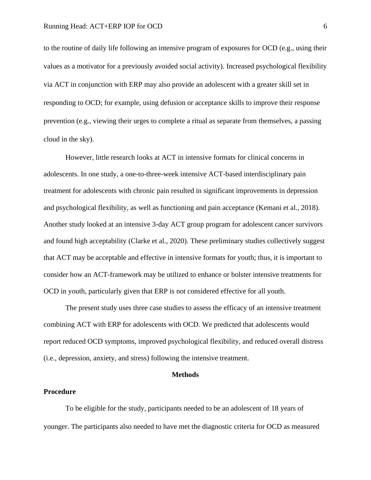to the routine of daily life following an intensive program of exposures for OCD (e.g., using their values as a motivator for a previously avoided social activity). Increased psychological flexibility via ACT in conjunction with ERP may also provide an adolescent with a greater skill set in responding to OCD; for example, using defusion or acceptance skills to improve their response prevention (e.g., viewing their urges to complete a ritual as separate from themselves, a passing cloud in the sky).

However, little research looks at ACT in intensive formats for clinical concerns in adolescents. In one study, a one-to-three-week intensive ACT-based interdisciplinary pain treatment for adolescents with chronic pain resulted in significant improvements in depression and psychological flexibility, as well as functioning and pain acceptance (Kemani et al., 2018). Another study looked at an intensive 3-day ACT group program for adolescent cancer survivors and found high acceptability (Clarke et al., 2020). These preliminary studies collectively suggest that ACT may be acceptable and effective in intensive formats for youth; thus, it is important to consider how an ACT-framework may be utilized to enhance or bolster intensive treatments for OCD in youth, particularly given that ERP is not considered effective for all youth.

The present study uses three case studies to assess the efficacy of an intensive treatment combining ACT with ERP for adolescents with OCD. We predicted that adolescents would report reduced OCD symptoms, improved psychological flexibility, and reduced overall distress (i.e., depression, anxiety, and stress) following the intensive treatment.

### **Methods**

### **Procedure**

To be eligible for the study, participants needed to be an adolescent of 18 years of younger. The participants also needed to have met the diagnostic criteria for OCD as measured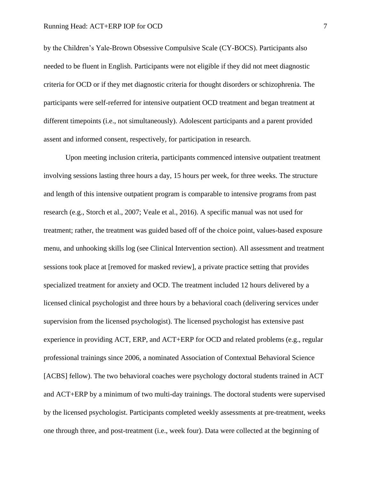by the Children's Yale-Brown Obsessive Compulsive Scale (CY-BOCS). Participants also needed to be fluent in English. Participants were not eligible if they did not meet diagnostic criteria for OCD or if they met diagnostic criteria for thought disorders or schizophrenia. The participants were self-referred for intensive outpatient OCD treatment and began treatment at different timepoints (i.e., not simultaneously). Adolescent participants and a parent provided assent and informed consent, respectively, for participation in research.

Upon meeting inclusion criteria, participants commenced intensive outpatient treatment involving sessions lasting three hours a day, 15 hours per week, for three weeks. The structure and length of this intensive outpatient program is comparable to intensive programs from past research (e.g., Storch et al., 2007; Veale et al., 2016). A specific manual was not used for treatment; rather, the treatment was guided based off of the choice point, values-based exposure menu, and unhooking skills log (see Clinical Intervention section). All assessment and treatment sessions took place at [removed for masked review], a private practice setting that provides specialized treatment for anxiety and OCD. The treatment included 12 hours delivered by a licensed clinical psychologist and three hours by a behavioral coach (delivering services under supervision from the licensed psychologist). The licensed psychologist has extensive past experience in providing ACT, ERP, and ACT+ERP for OCD and related problems (e.g., regular professional trainings since 2006, a nominated Association of Contextual Behavioral Science [ACBS] fellow). The two behavioral coaches were psychology doctoral students trained in ACT and ACT+ERP by a minimum of two multi-day trainings. The doctoral students were supervised by the licensed psychologist. Participants completed weekly assessments at pre-treatment, weeks one through three, and post-treatment (i.e., week four). Data were collected at the beginning of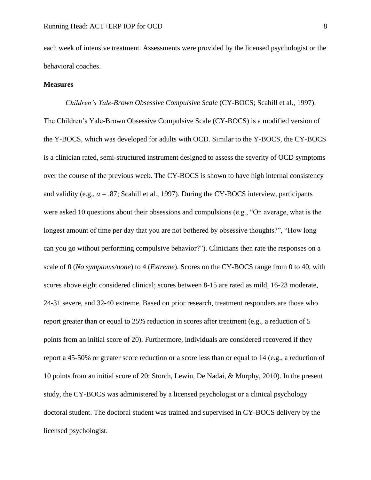each week of intensive treatment. Assessments were provided by the licensed psychologist or the behavioral coaches.

## **Measures**

*Children's Yale-Brown Obsessive Compulsive Scale* (CY-BOCS; Scahill et al., 1997). The Children's Yale-Brown Obsessive Compulsive Scale (CY-BOCS) is a modified version of the Y-BOCS, which was developed for adults with OCD. Similar to the Y-BOCS, the CY-BOCS is a clinician rated, semi-structured instrument designed to assess the severity of OCD symptoms over the course of the previous week. The CY-BOCS is shown to have high internal consistency and validity (e.g.,  $\alpha = .87$ ; Scahill et al., 1997). During the CY-BOCS interview, participants were asked 10 questions about their obsessions and compulsions (e.g., "On average, what is the longest amount of time per day that you are not bothered by obsessive thoughts?", "How long can you go without performing compulsive behavior?"). Clinicians then rate the responses on a scale of 0 (*No symptoms/none*) to 4 (*Extreme*). Scores on the CY-BOCS range from 0 to 40, with scores above eight considered clinical; scores between 8-15 are rated as mild, 16-23 moderate, 24-31 severe, and 32-40 extreme. Based on prior research, treatment responders are those who report greater than or equal to 25% reduction in scores after treatment (e.g., a reduction of 5 points from an initial score of 20). Furthermore, individuals are considered recovered if they report a 45-50% or greater score reduction or a score less than or equal to 14 (e.g., a reduction of 10 points from an initial score of 20; Storch, Lewin, De Nadai, & Murphy, 2010). In the present study, the CY-BOCS was administered by a licensed psychologist or a clinical psychology doctoral student. The doctoral student was trained and supervised in CY-BOCS delivery by the licensed psychologist.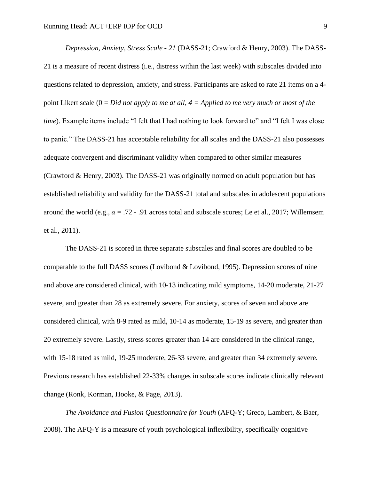*Depression, Anxiety, Stress Scale - 21* (DASS-21; Crawford & Henry, 2003). The DASS-21 is a measure of recent distress (i.e., distress within the last week) with subscales divided into questions related to depression, anxiety, and stress. Participants are asked to rate 21 items on a 4 point Likert scale (0 = *Did not apply to me at all*, *4 = Applied to me very much or most of the time*). Example items include "I felt that I had nothing to look forward to" and "I felt I was close to panic." The DASS-21 has acceptable reliability for all scales and the DASS-21 also possesses adequate convergent and discriminant validity when compared to other similar measures (Crawford & Henry, 2003). The DASS-21 was originally normed on adult population but has established reliability and validity for the DASS-21 total and subscales in adolescent populations around the world (e.g., *α* = .72 - .91 across total and subscale scores; Le et al., 2017; Willemsem et al., 2011).

The DASS-21 is scored in three separate subscales and final scores are doubled to be comparable to the full DASS scores (Lovibond & Lovibond, 1995). Depression scores of nine and above are considered clinical, with 10-13 indicating mild symptoms, 14-20 moderate, 21-27 severe, and greater than 28 as extremely severe. For anxiety, scores of seven and above are considered clinical, with 8-9 rated as mild, 10-14 as moderate, 15-19 as severe, and greater than 20 extremely severe. Lastly, stress scores greater than 14 are considered in the clinical range, with 15-18 rated as mild, 19-25 moderate, 26-33 severe, and greater than 34 extremely severe. Previous research has established 22-33% changes in subscale scores indicate clinically relevant change (Ronk, Korman, Hooke, & Page, 2013).

*The Avoidance and Fusion Questionnaire for Youth* (AFQ-Y; Greco, Lambert, & Baer, 2008). The AFQ-Y is a measure of youth psychological inflexibility, specifically cognitive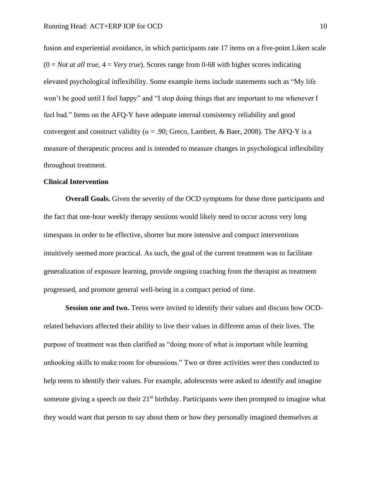fusion and experiential avoidance, in which participants rate 17 items on a five-point Likert scale  $(0 = Not at all true, 4 = Very true)$ . Scores range from 0-68 with higher scores indicating elevated psychological inflexibility. Some example items include statements such as "My life won't be good until I feel happy" and "I stop doing things that are important to me whenever I feel bad." Items on the AFQ-Y have adequate internal consistency reliability and good convergent and construct validity ( $\alpha$  = .90; Greco, Lambert, & Baer, 2008). The AFQ-Y is a measure of therapeutic process and is intended to measure changes in psychological inflexibility throughout treatment.

## **Clinical Intervention**

**Overall Goals.** Given the severity of the OCD symptoms for these three participants and the fact that one-hour weekly therapy sessions would likely need to occur across very long timespans in order to be effective, shorter but more intensive and compact interventions intuitively seemed more practical. As such, the goal of the current treatment was to facilitate generalization of exposure learning, provide ongoing coaching from the therapist as treatment progressed, and promote general well-being in a compact period of time.

**Session one and two.** Teens were invited to identify their values and discuss how OCDrelated behaviors affected their ability to live their values in different areas of their lives. The purpose of treatment was then clarified as "doing more of what is important while learning unhooking skills to make room for obsessions." Two or three activities were then conducted to help teens to identify their values. For example, adolescents were asked to identify and imagine someone giving a speech on their 21<sup>st</sup> birthday. Participants were then prompted to imagine what they would want that person to say about them or how they personally imagined themselves at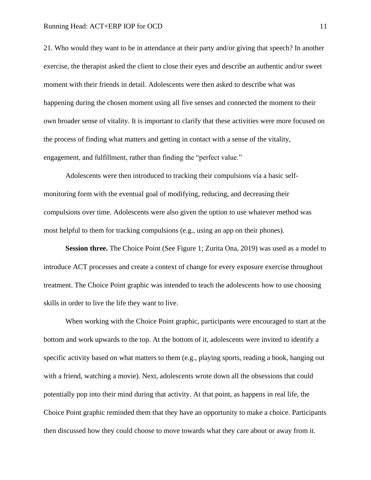21. Who would they want to be in attendance at their party and/or giving that speech? In another exercise, the therapist asked the client to close their eyes and describe an authentic and/or sweet moment with their friends in detail. Adolescents were then asked to describe what was happening during the chosen moment using all five senses and connected the moment to their own broader sense of vitality. It is important to clarify that these activities were more focused on the process of finding what matters and getting in contact with a sense of the vitality, engagement, and fulfillment, rather than finding the "perfect value."

Adolescents were then introduced to tracking their compulsions via a basic selfmonitoring form with the eventual goal of modifying, reducing, and decreasing their compulsions over time. Adolescents were also given the option to use whatever method was most helpful to them for tracking compulsions (e.g., using an app on their phones).

**Session three.** The Choice Point (See Figure 1; Zurita Ona, 2019) was used as a model to introduce ACT processes and create a context of change for every exposure exercise throughout treatment. The Choice Point graphic was intended to teach the adolescents how to use choosing skills in order to live the life they want to live.

When working with the Choice Point graphic, participants were encouraged to start at the bottom and work upwards to the top. At the bottom of it, adolescents were invited to identify a specific activity based on what matters to them (e.g., playing sports, reading a book, hanging out with a friend, watching a movie). Next, adolescents wrote down all the obsessions that could potentially pop into their mind during that activity. At that point, as happens in real life, the Choice Point graphic reminded them that they have an opportunity to make a choice. Participants then discussed how they could choose to move towards what they care about or away from it.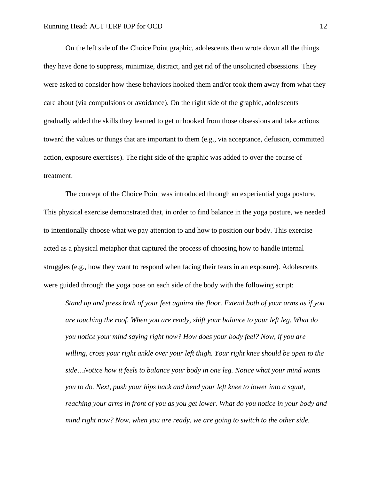On the left side of the Choice Point graphic, adolescents then wrote down all the things they have done to suppress, minimize, distract, and get rid of the unsolicited obsessions. They were asked to consider how these behaviors hooked them and/or took them away from what they care about (via compulsions or avoidance). On the right side of the graphic, adolescents gradually added the skills they learned to get unhooked from those obsessions and take actions toward the values or things that are important to them (e.g., via acceptance, defusion, committed action, exposure exercises). The right side of the graphic was added to over the course of treatment.

The concept of the Choice Point was introduced through an experiential yoga posture. This physical exercise demonstrated that, in order to find balance in the yoga posture, we needed to intentionally choose what we pay attention to and how to position our body. This exercise acted as a physical metaphor that captured the process of choosing how to handle internal struggles (e.g., how they want to respond when facing their fears in an exposure). Adolescents were guided through the yoga pose on each side of the body with the following script:

*Stand up and press both of your feet against the floor. Extend both of your arms as if you are touching the roof. When you are ready, shift your balance to your left leg. What do you notice your mind saying right now? How does your body feel? Now, if you are willing, cross your right ankle over your left thigh. Your right knee should be open to the side…Notice how it feels to balance your body in one leg. Notice what your mind wants you to do. Next, push your hips back and bend your left knee to lower into a squat, reaching your arms in front of you as you get lower. What do you notice in your body and mind right now? Now, when you are ready, we are going to switch to the other side.*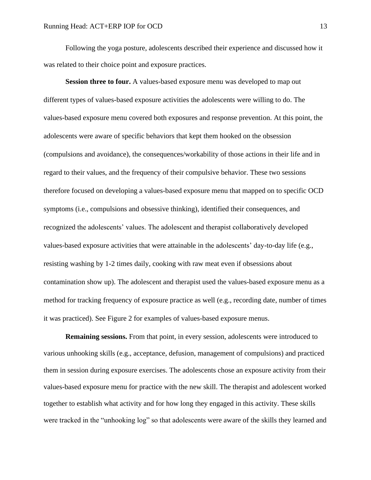Following the yoga posture, adolescents described their experience and discussed how it was related to their choice point and exposure practices.

**Session three to four.** A values-based exposure menu was developed to map out different types of values-based exposure activities the adolescents were willing to do. The values-based exposure menu covered both exposures and response prevention. At this point, the adolescents were aware of specific behaviors that kept them hooked on the obsession (compulsions and avoidance), the consequences/workability of those actions in their life and in regard to their values, and the frequency of their compulsive behavior. These two sessions therefore focused on developing a values-based exposure menu that mapped on to specific OCD symptoms (i.e., compulsions and obsessive thinking), identified their consequences, and recognized the adolescents' values. The adolescent and therapist collaboratively developed values-based exposure activities that were attainable in the adolescents' day-to-day life (e.g., resisting washing by 1-2 times daily, cooking with raw meat even if obsessions about contamination show up). The adolescent and therapist used the values-based exposure menu as a method for tracking frequency of exposure practice as well (e.g., recording date, number of times it was practiced). See Figure 2 for examples of values-based exposure menus.

**Remaining sessions.** From that point, in every session, adolescents were introduced to various unhooking skills (e.g., acceptance, defusion, management of compulsions) and practiced them in session during exposure exercises. The adolescents chose an exposure activity from their values-based exposure menu for practice with the new skill. The therapist and adolescent worked together to establish what activity and for how long they engaged in this activity. These skills were tracked in the "unhooking log" so that adolescents were aware of the skills they learned and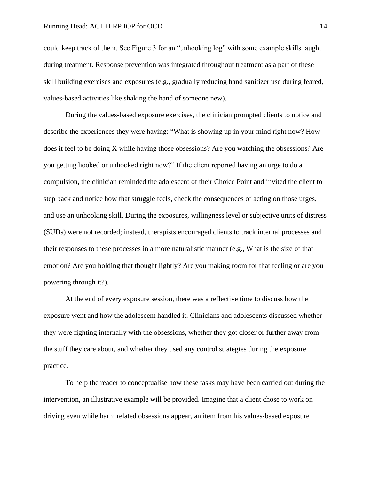could keep track of them. See Figure 3 for an "unhooking log" with some example skills taught during treatment. Response prevention was integrated throughout treatment as a part of these skill building exercises and exposures (e.g., gradually reducing hand sanitizer use during feared, values-based activities like shaking the hand of someone new).

During the values-based exposure exercises, the clinician prompted clients to notice and describe the experiences they were having: "What is showing up in your mind right now? How does it feel to be doing X while having those obsessions? Are you watching the obsessions? Are you getting hooked or unhooked right now?" If the client reported having an urge to do a compulsion, the clinician reminded the adolescent of their Choice Point and invited the client to step back and notice how that struggle feels, check the consequences of acting on those urges, and use an unhooking skill. During the exposures, willingness level or subjective units of distress (SUDs) were not recorded; instead, therapists encouraged clients to track internal processes and their responses to these processes in a more naturalistic manner (e.g., What is the size of that emotion? Are you holding that thought lightly? Are you making room for that feeling or are you powering through it?).

At the end of every exposure session, there was a reflective time to discuss how the exposure went and how the adolescent handled it. Clinicians and adolescents discussed whether they were fighting internally with the obsessions, whether they got closer or further away from the stuff they care about, and whether they used any control strategies during the exposure practice.

To help the reader to conceptualise how these tasks may have been carried out during the intervention, an illustrative example will be provided. Imagine that a client chose to work on driving even while harm related obsessions appear, an item from his values-based exposure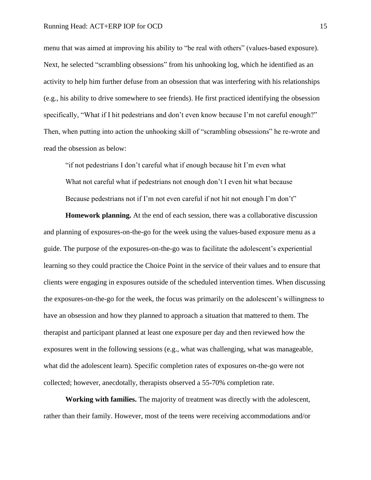menu that was aimed at improving his ability to "be real with others" (values-based exposure). Next, he selected "scrambling obsessions" from his unhooking log, which he identified as an activity to help him further defuse from an obsession that was interfering with his relationships (e.g., his ability to drive somewhere to see friends). He first practiced identifying the obsession specifically, "What if I hit pedestrians and don't even know because I'm not careful enough?" Then, when putting into action the unhooking skill of "scrambling obsessions" he re-wrote and read the obsession as below:

"if not pedestrians I don't careful what if enough because hit I'm even what What not careful what if pedestrians not enough don't I even hit what because Because pedestrians not if I'm not even careful if not hit not enough I'm don't"

**Homework planning.** At the end of each session, there was a collaborative discussion and planning of exposures-on-the-go for the week using the values-based exposure menu as a guide. The purpose of the exposures-on-the-go was to facilitate the adolescent's experiential learning so they could practice the Choice Point in the service of their values and to ensure that clients were engaging in exposures outside of the scheduled intervention times. When discussing the exposures-on-the-go for the week, the focus was primarily on the adolescent's willingness to have an obsession and how they planned to approach a situation that mattered to them. The therapist and participant planned at least one exposure per day and then reviewed how the exposures went in the following sessions (e.g., what was challenging, what was manageable, what did the adolescent learn). Specific completion rates of exposures on-the-go were not collected; however, anecdotally, therapists observed a 55-70% completion rate.

**Working with families.** The majority of treatment was directly with the adolescent, rather than their family. However, most of the teens were receiving accommodations and/or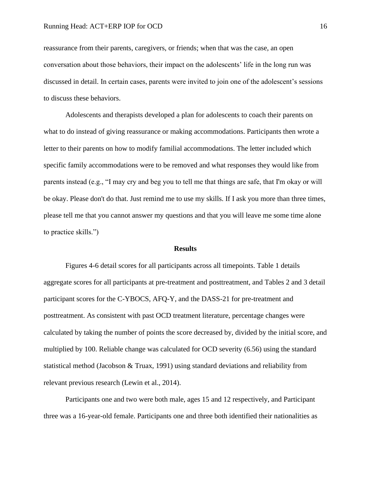reassurance from their parents, caregivers, or friends; when that was the case, an open conversation about those behaviors, their impact on the adolescents' life in the long run was discussed in detail. In certain cases, parents were invited to join one of the adolescent's sessions to discuss these behaviors.

Adolescents and therapists developed a plan for adolescents to coach their parents on what to do instead of giving reassurance or making accommodations. Participants then wrote a letter to their parents on how to modify familial accommodations. The letter included which specific family accommodations were to be removed and what responses they would like from parents instead (e.g., "I may cry and beg you to tell me that things are safe, that I'm okay or will be okay. Please don't do that. Just remind me to use my skills. If I ask you more than three times, please tell me that you cannot answer my questions and that you will leave me some time alone to practice skills.")

### **Results**

Figures 4-6 detail scores for all participants across all timepoints. Table 1 details aggregate scores for all participants at pre-treatment and posttreatment, and Tables 2 and 3 detail participant scores for the C-YBOCS, AFQ-Y, and the DASS-21 for pre-treatment and posttreatment. As consistent with past OCD treatment literature, percentage changes were calculated by taking the number of points the score decreased by, divided by the initial score, and multiplied by 100. Reliable change was calculated for OCD severity (6.56) using the standard statistical method (Jacobson & Truax, 1991) using standard deviations and reliability from relevant previous research (Lewin et al., 2014).

Participants one and two were both male, ages 15 and 12 respectively, and Participant three was a 16-year-old female. Participants one and three both identified their nationalities as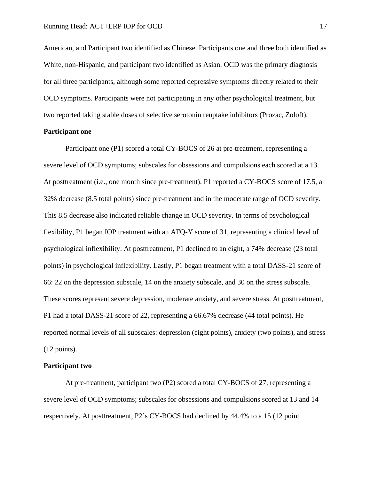American, and Participant two identified as Chinese. Participants one and three both identified as White, non-Hispanic, and participant two identified as Asian. OCD was the primary diagnosis for all three participants, although some reported depressive symptoms directly related to their OCD symptoms. Participants were not participating in any other psychological treatment, but two reported taking stable doses of selective serotonin reuptake inhibitors (Prozac, Zoloft).

## **Participant one**

Participant one (P1) scored a total CY-BOCS of 26 at pre-treatment, representing a severe level of OCD symptoms; subscales for obsessions and compulsions each scored at a 13. At posttreatment (i.e., one month since pre-treatment), P1 reported a CY-BOCS score of 17.5, a 32% decrease (8.5 total points) since pre-treatment and in the moderate range of OCD severity. This 8.5 decrease also indicated reliable change in OCD severity. In terms of psychological flexibility, P1 began IOP treatment with an AFQ-Y score of 31, representing a clinical level of psychological inflexibility. At posttreatment, P1 declined to an eight, a 74% decrease (23 total points) in psychological inflexibility. Lastly, P1 began treatment with a total DASS-21 score of 66: 22 on the depression subscale, 14 on the anxiety subscale, and 30 on the stress subscale. These scores represent severe depression, moderate anxiety, and severe stress. At posttreatment, P1 had a total DASS-21 score of 22, representing a 66.67% decrease (44 total points). He reported normal levels of all subscales: depression (eight points), anxiety (two points), and stress (12 points).

## **Participant two**

At pre-treatment, participant two (P2) scored a total CY-BOCS of 27, representing a severe level of OCD symptoms; subscales for obsessions and compulsions scored at 13 and 14 respectively. At posttreatment, P2's CY-BOCS had declined by 44.4% to a 15 (12 point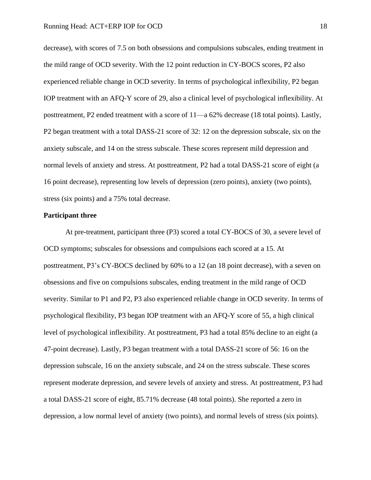decrease), with scores of 7.5 on both obsessions and compulsions subscales, ending treatment in the mild range of OCD severity. With the 12 point reduction in CY-BOCS scores, P2 also experienced reliable change in OCD severity. In terms of psychological inflexibility, P2 began IOP treatment with an AFQ-Y score of 29, also a clinical level of psychological inflexibility. At posttreatment, P2 ended treatment with a score of 11—a 62% decrease (18 total points). Lastly, P2 began treatment with a total DASS-21 score of 32: 12 on the depression subscale, six on the anxiety subscale, and 14 on the stress subscale. These scores represent mild depression and normal levels of anxiety and stress. At posttreatment, P2 had a total DASS-21 score of eight (a 16 point decrease), representing low levels of depression (zero points), anxiety (two points), stress (six points) and a 75% total decrease.

## **Participant three**

At pre-treatment, participant three (P3) scored a total CY-BOCS of 30, a severe level of OCD symptoms; subscales for obsessions and compulsions each scored at a 15. At posttreatment, P3's CY-BOCS declined by 60% to a 12 (an 18 point decrease), with a seven on obsessions and five on compulsions subscales, ending treatment in the mild range of OCD severity. Similar to P1 and P2, P3 also experienced reliable change in OCD severity. In terms of psychological flexibility, P3 began IOP treatment with an AFQ-Y score of 55, a high clinical level of psychological inflexibility. At posttreatment, P3 had a total 85% decline to an eight (a 47-point decrease). Lastly, P3 began treatment with a total DASS-21 score of 56: 16 on the depression subscale, 16 on the anxiety subscale, and 24 on the stress subscale. These scores represent moderate depression, and severe levels of anxiety and stress. At posttreatment, P3 had a total DASS-21 score of eight, 85.71% decrease (48 total points). She reported a zero in depression, a low normal level of anxiety (two points), and normal levels of stress (six points).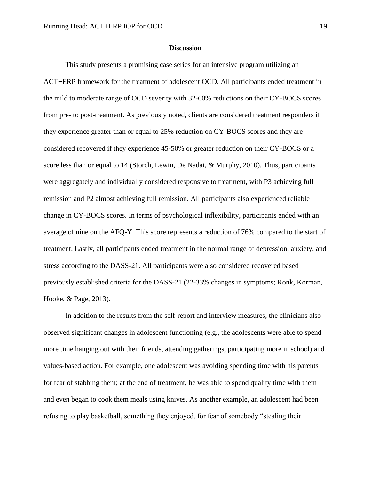### **Discussion**

 This study presents a promising case series for an intensive program utilizing an ACT+ERP framework for the treatment of adolescent OCD. All participants ended treatment in the mild to moderate range of OCD severity with 32-60% reductions on their CY-BOCS scores from pre- to post-treatment. As previously noted, clients are considered treatment responders if they experience greater than or equal to 25% reduction on CY-BOCS scores and they are considered recovered if they experience 45-50% or greater reduction on their CY-BOCS or a score less than or equal to 14 (Storch, Lewin, De Nadai, & Murphy, 2010). Thus, participants were aggregately and individually considered responsive to treatment, with P3 achieving full remission and P2 almost achieving full remission. All participants also experienced reliable change in CY-BOCS scores. In terms of psychological inflexibility, participants ended with an average of nine on the AFQ-Y. This score represents a reduction of 76% compared to the start of treatment. Lastly, all participants ended treatment in the normal range of depression, anxiety, and stress according to the DASS-21. All participants were also considered recovered based previously established criteria for the DASS-21 (22-33% changes in symptoms; Ronk, Korman, Hooke, & Page, 2013).

In addition to the results from the self-report and interview measures, the clinicians also observed significant changes in adolescent functioning (e.g., the adolescents were able to spend more time hanging out with their friends, attending gatherings, participating more in school) and values-based action. For example, one adolescent was avoiding spending time with his parents for fear of stabbing them; at the end of treatment, he was able to spend quality time with them and even began to cook them meals using knives. As another example, an adolescent had been refusing to play basketball, something they enjoyed, for fear of somebody "stealing their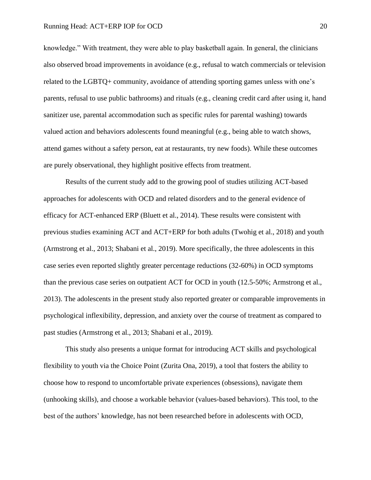knowledge." With treatment, they were able to play basketball again. In general, the clinicians also observed broad improvements in avoidance (e.g., refusal to watch commercials or television related to the LGBTQ+ community, avoidance of attending sporting games unless with one's parents, refusal to use public bathrooms) and rituals (e.g., cleaning credit card after using it, hand sanitizer use, parental accommodation such as specific rules for parental washing) towards valued action and behaviors adolescents found meaningful (e.g., being able to watch shows, attend games without a safety person, eat at restaurants, try new foods). While these outcomes are purely observational, they highlight positive effects from treatment.

 Results of the current study add to the growing pool of studies utilizing ACT-based approaches for adolescents with OCD and related disorders and to the general evidence of efficacy for ACT-enhanced ERP (Bluett et al., 2014). These results were consistent with previous studies examining ACT and ACT+ERP for both adults (Twohig et al., 2018) and youth (Armstrong et al., 2013; Shabani et al., 2019). More specifically, the three adolescents in this case series even reported slightly greater percentage reductions (32-60%) in OCD symptoms than the previous case series on outpatient ACT for OCD in youth (12.5-50%; Armstrong et al., 2013). The adolescents in the present study also reported greater or comparable improvements in psychological inflexibility, depression, and anxiety over the course of treatment as compared to past studies (Armstrong et al., 2013; Shabani et al., 2019).

This study also presents a unique format for introducing ACT skills and psychological flexibility to youth via the Choice Point (Zurita Ona, 2019), a tool that fosters the ability to choose how to respond to uncomfortable private experiences (obsessions), navigate them (unhooking skills), and choose a workable behavior (values-based behaviors). This tool, to the best of the authors' knowledge, has not been researched before in adolescents with OCD,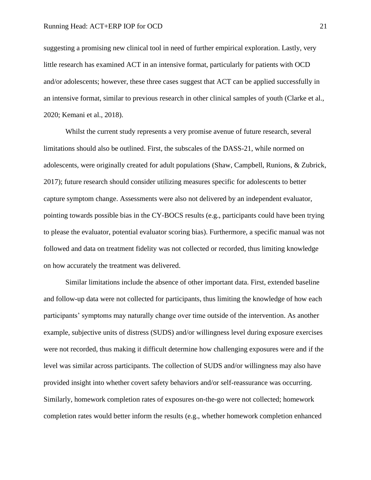suggesting a promising new clinical tool in need of further empirical exploration. Lastly, very little research has examined ACT in an intensive format, particularly for patients with OCD and/or adolescents; however, these three cases suggest that ACT can be applied successfully in an intensive format, similar to previous research in other clinical samples of youth (Clarke et al., 2020; Kemani et al., 2018).

 Whilst the current study represents a very promise avenue of future research, several limitations should also be outlined. First, the subscales of the DASS-21, while normed on adolescents, were originally created for adult populations (Shaw, Campbell, Runions, & Zubrick, 2017); future research should consider utilizing measures specific for adolescents to better capture symptom change. Assessments were also not delivered by an independent evaluator, pointing towards possible bias in the CY-BOCS results (e.g., participants could have been trying to please the evaluator, potential evaluator scoring bias). Furthermore, a specific manual was not followed and data on treatment fidelity was not collected or recorded, thus limiting knowledge on how accurately the treatment was delivered.

Similar limitations include the absence of other important data. First, extended baseline and follow-up data were not collected for participants, thus limiting the knowledge of how each participants' symptoms may naturally change over time outside of the intervention. As another example, subjective units of distress (SUDS) and/or willingness level during exposure exercises were not recorded, thus making it difficult determine how challenging exposures were and if the level was similar across participants. The collection of SUDS and/or willingness may also have provided insight into whether covert safety behaviors and/or self-reassurance was occurring. Similarly, homework completion rates of exposures on-the-go were not collected; homework completion rates would better inform the results (e.g., whether homework completion enhanced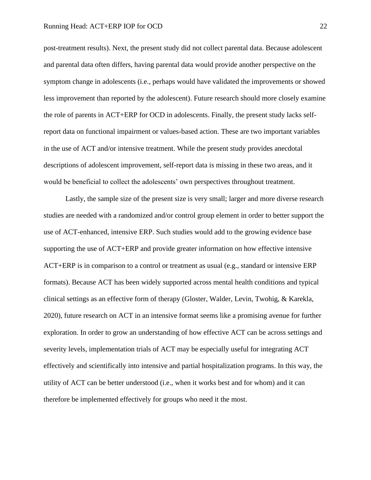post-treatment results). Next, the present study did not collect parental data. Because adolescent and parental data often differs, having parental data would provide another perspective on the symptom change in adolescents (i.e., perhaps would have validated the improvements or showed less improvement than reported by the adolescent). Future research should more closely examine the role of parents in ACT+ERP for OCD in adolescents. Finally, the present study lacks selfreport data on functional impairment or values-based action. These are two important variables in the use of ACT and/or intensive treatment. While the present study provides anecdotal descriptions of adolescent improvement, self-report data is missing in these two areas, and it would be beneficial to collect the adolescents' own perspectives throughout treatment.

Lastly, the sample size of the present size is very small; larger and more diverse research studies are needed with a randomized and/or control group element in order to better support the use of ACT-enhanced, intensive ERP. Such studies would add to the growing evidence base supporting the use of ACT+ERP and provide greater information on how effective intensive ACT+ERP is in comparison to a control or treatment as usual (e.g., standard or intensive ERP formats). Because ACT has been widely supported across mental health conditions and typical clinical settings as an effective form of therapy (Gloster, Walder, Levin, Twohig, & Karekla, 2020), future research on ACT in an intensive format seems like a promising avenue for further exploration. In order to grow an understanding of how effective ACT can be across settings and severity levels, implementation trials of ACT may be especially useful for integrating ACT effectively and scientifically into intensive and partial hospitalization programs. In this way, the utility of ACT can be better understood (i.e., when it works best and for whom) and it can therefore be implemented effectively for groups who need it the most.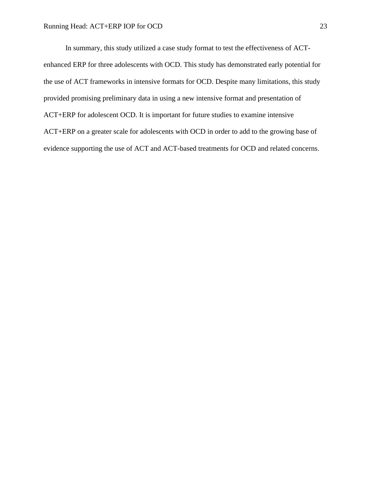In summary, this study utilized a case study format to test the effectiveness of ACTenhanced ERP for three adolescents with OCD. This study has demonstrated early potential for the use of ACT frameworks in intensive formats for OCD. Despite many limitations, this study provided promising preliminary data in using a new intensive format and presentation of ACT+ERP for adolescent OCD. It is important for future studies to examine intensive ACT+ERP on a greater scale for adolescents with OCD in order to add to the growing base of evidence supporting the use of ACT and ACT-based treatments for OCD and related concerns.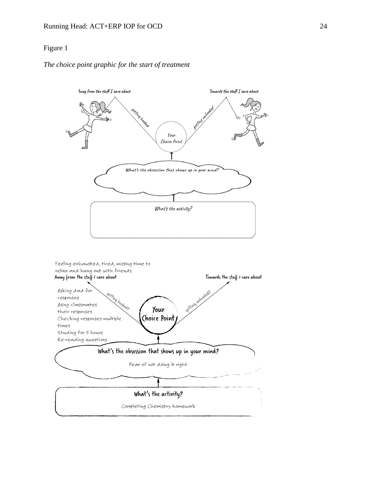## *The choice point graphic for the start of treatment*

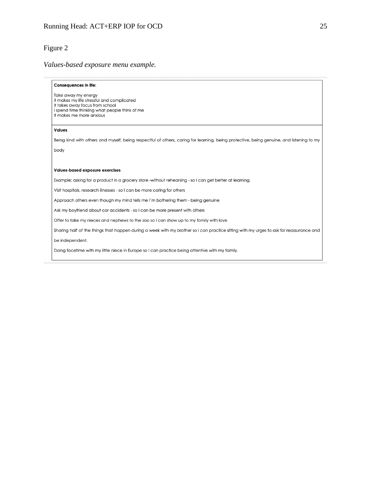## *Values-based exposure menu example.*

#### **Consequences in life:**

Take away my energy It makes my life stressful and complicated It takes away focus from school I spend time thinking what people think of me It makes me more anxious

#### **Values**

Being kind with others and myself, being respectful of others, caring for learning, being protective, being genuine, and listening to my body

#### Values-based exposure exercises

Example: asking for a product in a grocery store -without rehearsing - so I can get better at learning.

Visit hospitals, research illnesses - so i can be more caring for others

Approach others even though my mind tells me I'm bothering them - being genuine

Ask my boyfriend about car accidents - so I can be more present with others

Offer to take my nieces and nephews to the zoo so I can show up to my family with love

Sharing half of the things that happen during a week with my brother so I can practice sitting with my urges to ask for reassurance and

be independent.

Doing facetime with my little niece in Europe so I can practice being attentive with my family.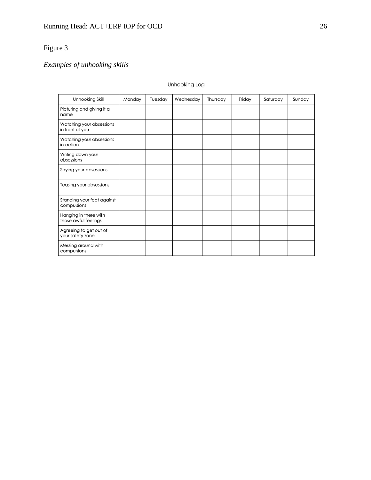# *Examples of unhooking skills*

## **Unhooking Log**

| Unhooking Skill                               | Monday | Tuesday | Wednesday | Thursday | Friday | Saturday | Sunday |
|-----------------------------------------------|--------|---------|-----------|----------|--------|----------|--------|
| Picturing and giving it a<br>name             |        |         |           |          |        |          |        |
| Watching your obsessions<br>in front of you   |        |         |           |          |        |          |        |
| Watching your obsessions<br>in-action         |        |         |           |          |        |          |        |
| Writing down your<br>obsessions               |        |         |           |          |        |          |        |
| Saying your obsessions                        |        |         |           |          |        |          |        |
| Teasing your obsessions                       |        |         |           |          |        |          |        |
| Standing your feet against<br>compulsions     |        |         |           |          |        |          |        |
| Hanging in there with<br>those awful feelings |        |         |           |          |        |          |        |
| Agreeing to get out of<br>your safety zone    |        |         |           |          |        |          |        |
| Messing around with<br>compulsions            |        |         |           |          |        |          |        |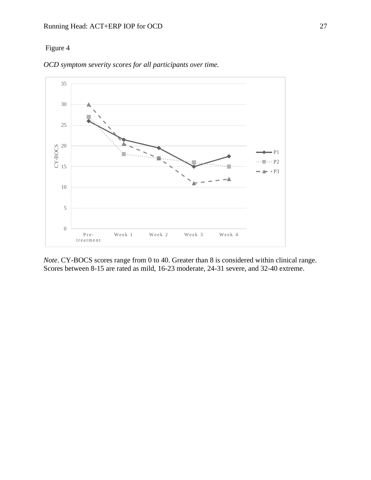

*OCD symptom severity scores for all participants over time.*

*Note*. CY-BOCS scores range from 0 to 40. Greater than 8 is considered within clinical range. Scores between 8-15 are rated as mild, 16-23 moderate, 24-31 severe, and 32-40 extreme.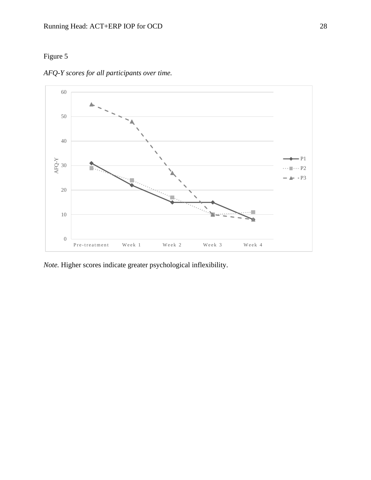

*AFQ-Y scores for all participants over time.*

*Note.* Higher scores indicate greater psychological inflexibility.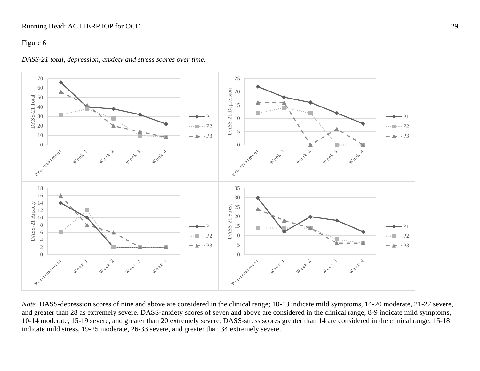## Running Head: ACT+ERP IOP for OCD 29

## Figure 6



*DASS-21 total, depression, anxiety and stress scores over time.*

*Note.* DASS-depression scores of nine and above are considered in the clinical range; 10-13 indicate mild symptoms, 14-20 moderate, 21-27 severe, and greater than 28 as extremely severe. DASS-anxiety scores of seven and above are considered in the clinical range; 8-9 indicate mild symptoms, 10-14 moderate, 15-19 severe, and greater than 20 extremely severe. DASS-stress scores greater than 14 are considered in the clinical range; 15-18 indicate mild stress, 19-25 moderate, 26-33 severe, and greater than 34 extremely severe.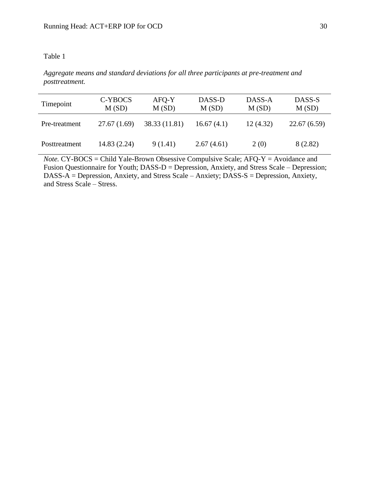## Table 1

*Aggregate means and standard deviations for all three participants at pre-treatment and posttreatment.*

| Timepoint     | C-YBOCS<br>M(SD) | AFQ-Y<br>M(SD) | DASS-D<br>M(SD) | DASS-A<br>M(SD) | DASS-S<br>M(SD) |
|---------------|------------------|----------------|-----------------|-----------------|-----------------|
| Pre-treatment | 27.67(1.69)      | 38.33 (11.81)  | 16.67(4.1)      | 12(4.32)        | 22.67(6.59)     |
| Posttreatment | 14.83 (2.24)     | 9(1.41)        | 2.67(4.61)      | 2(0)            | 8 (2.82)        |

*Note.* CY-BOCS = Child Yale-Brown Obsessive Compulsive Scale; AFQ-Y = Avoidance and Fusion Questionnaire for Youth; DASS-D = Depression, Anxiety, and Stress Scale – Depression; DASS-A = Depression, Anxiety, and Stress Scale – Anxiety; DASS-S = Depression, Anxiety, and Stress Scale – Stress.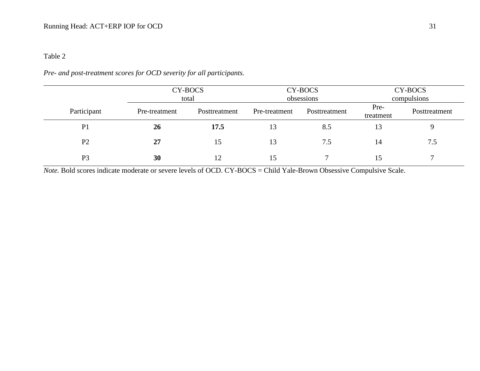## Table 2

## *Pre- and post-treatment scores for OCD severity for all participants.*

|                |               | CY-BOCS<br>total |               | CY-BOCS<br>obsessions | CY-BOCS<br>compulsions |               |  |
|----------------|---------------|------------------|---------------|-----------------------|------------------------|---------------|--|
| Participant    | Pre-treatment | Posttreatment    | Pre-treatment | Posttreatment         | Pre-<br>treatment      | Posttreatment |  |
| P <sub>1</sub> | 26            | 17.5             | 13            | 8.5                   | 13                     |               |  |
| P <sub>2</sub> | 27            | 15               | 13            | 7.5                   | 14                     | 7.5           |  |
| P <sub>3</sub> | 30            | 12               | 15            |                       | 15                     |               |  |

*Note.* Bold scores indicate moderate or severe levels of OCD. CY-BOCS = Child Yale-Brown Obsessive Compulsive Scale.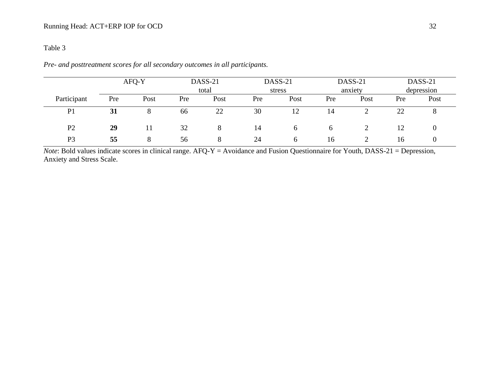## Table 3

|                |     | AFQ-Y |     | DASS-21<br>total |     | DASS-21<br>stress |     | DASS-21<br>anxiety |     | DASS-21<br>depression |  |
|----------------|-----|-------|-----|------------------|-----|-------------------|-----|--------------------|-----|-----------------------|--|
| Participant    | Pre | Post  | Pre | Post             | Pre | Post              | Pre | Post               | Pre | Post                  |  |
| P <sub>1</sub> | 31  |       | 66  | 22               | 30  | 12                | 14  |                    | 22  |                       |  |
| P <sub>2</sub> | 29  | 11    | 32  | 8                | 14  | <sub>b</sub>      |     |                    |     |                       |  |
| P <sub>3</sub> | 55  | 8     | 56  | 8                | 24  | $\mathfrak b$     | 16  |                    | 16  |                       |  |

*Pre- and posttreatment scores for all secondary outcomes in all participants.*

*Note*: Bold values indicate scores in clinical range. AFQ-Y = Avoidance and Fusion Questionnaire for Youth, DASS-21 = Depression, Anxiety and Stress Scale.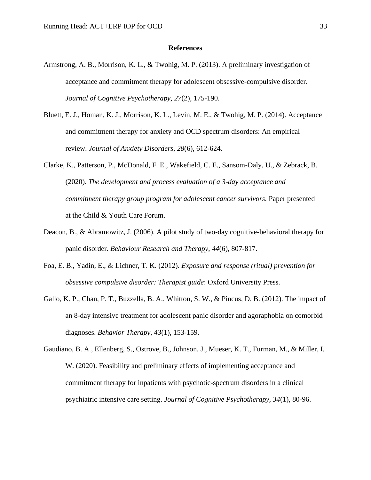### **References**

- Armstrong, A. B., Morrison, K. L., & Twohig, M. P. (2013). A preliminary investigation of acceptance and commitment therapy for adolescent obsessive-compulsive disorder. *Journal of Cognitive Psychotherapy, 27*(2), 175-190.
- Bluett, E. J., Homan, K. J., Morrison, K. L., Levin, M. E., & Twohig, M. P. (2014). Acceptance and commitment therapy for anxiety and OCD spectrum disorders: An empirical review. *Journal of Anxiety Disorders*, *28*(6), 612-624.
- Clarke, K., Patterson, P., McDonald, F. E., Wakefield, C. E., Sansom-Daly, U., & Zebrack, B. (2020). *The development and process evaluation of a 3-day acceptance and commitment therapy group program for adolescent cancer survivors.* Paper presented at the Child & Youth Care Forum.
- Deacon, B., & Abramowitz, J. (2006). A pilot study of two-day cognitive-behavioral therapy for panic disorder. *Behaviour Research and Therapy, 44*(6), 807-817.
- Foa, E. B., Yadin, E., & Lichner, T. K. (2012). *Exposure and response (ritual) prevention for obsessive compulsive disorder: Therapist guide*: Oxford University Press.
- Gallo, K. P., Chan, P. T., Buzzella, B. A., Whitton, S. W., & Pincus, D. B. (2012). The impact of an 8-day intensive treatment for adolescent panic disorder and agoraphobia on comorbid diagnoses. *Behavior Therapy, 43*(1), 153-159.
- Gaudiano, B. A., Ellenberg, S., Ostrove, B., Johnson, J., Mueser, K. T., Furman, M., & Miller, I. W. (2020). Feasibility and preliminary effects of implementing acceptance and commitment therapy for inpatients with psychotic-spectrum disorders in a clinical psychiatric intensive care setting. *Journal of Cognitive Psychotherapy, 34*(1), 80-96.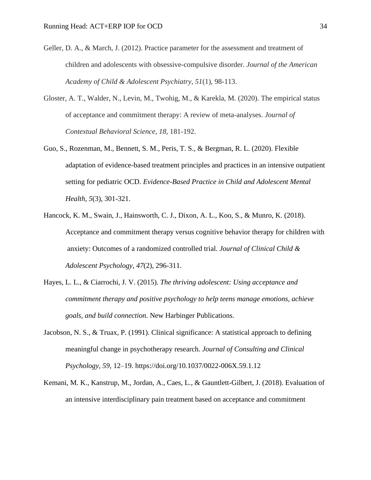- Geller, D. A., & March, J. (2012). Practice parameter for the assessment and treatment of children and adolescents with obsessive-compulsive disorder. *Journal of the American Academy of Child & Adolescent Psychiatry*, *51*(1), 98-113.
- Gloster, A. T., Walder, N., Levin, M., Twohig, M., & Karekla, M. (2020). The empirical status of acceptance and commitment therapy: A review of meta-analyses. *Journal of Contextual Behavioral Science*, *18*, 181-192.
- Guo, S., Rozenman, M., Bennett, S. M., Peris, T. S., & Bergman, R. L. (2020). Flexible adaptation of evidence-based treatment principles and practices in an intensive outpatient setting for pediatric OCD. *Evidence-Based Practice in Child and Adolescent Mental Health*, *5*(3), 301-321.
- Hancock, K. M., Swain, J., Hainsworth, C. J., Dixon, A. L., Koo, S., & Munro, K. (2018). Acceptance and commitment therapy versus cognitive behavior therapy for children with anxiety: Outcomes of a randomized controlled trial. *Journal of Clinical Child & Adolescent Psychology*, *47*(2), 296-311.
- Hayes, L. L., & Ciarrochi, J. V. (2015). *The thriving adolescent: Using acceptance and commitment therapy and positive psychology to help teens manage emotions, achieve goals, and build connection*. New Harbinger Publications.
- Jacobson, N. S., & Truax, P. (1991). Clinical significance: A statistical approach to defining meaningful change in psychotherapy research. *Journal of Consulting and Clinical Psychology*, *59*, 12–19. https://doi.org/10.1037/0022-006X.59.1.12
- Kemani, M. K., Kanstrup, M., Jordan, A., Caes, L., & Gauntlett-Gilbert, J. (2018). Evaluation of an intensive interdisciplinary pain treatment based on acceptance and commitment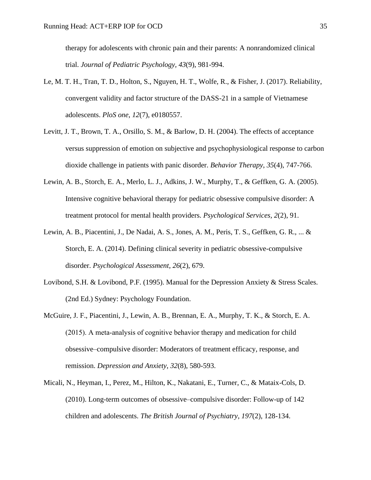therapy for adolescents with chronic pain and their parents: A nonrandomized clinical trial. *Journal of Pediatric Psychology, 43*(9), 981-994.

- Le, M. T. H., Tran, T. D., Holton, S., Nguyen, H. T., Wolfe, R., & Fisher, J. (2017). Reliability, convergent validity and factor structure of the DASS-21 in a sample of Vietnamese adolescents. *PloS one*, *12*(7), e0180557.
- Levitt, J. T., Brown, T. A., Orsillo, S. M., & Barlow, D. H. (2004). The effects of acceptance versus suppression of emotion on subjective and psychophysiological response to carbon dioxide challenge in patients with panic disorder. *Behavior Therapy*, *35*(4), 747-766.
- Lewin, A. B., Storch, E. A., Merlo, L. J., Adkins, J. W., Murphy, T., & Geffken, G. A. (2005). Intensive cognitive behavioral therapy for pediatric obsessive compulsive disorder: A treatment protocol for mental health providers. *Psychological Services, 2*(2), 91.
- Lewin, A. B., Piacentini, J., De Nadai, A. S., Jones, A. M., Peris, T. S., Geffken, G. R., ... & Storch, E. A. (2014). Defining clinical severity in pediatric obsessive-compulsive disorder. *Psychological Assessment*, *26*(2), 679.
- Lovibond, S.H. & Lovibond, P.F. (1995). Manual for the Depression Anxiety & Stress Scales. (2nd Ed.) Sydney: Psychology Foundation.
- McGuire, J. F., Piacentini, J., Lewin, A. B., Brennan, E. A., Murphy, T. K., & Storch, E. A. (2015). A meta‐analysis of cognitive behavior therapy and medication for child obsessive–compulsive disorder: Moderators of treatment efficacy, response, and remission. *Depression and Anxiety*, *32*(8), 580-593.
- Micali, N., Heyman, I., Perez, M., Hilton, K., Nakatani, E., Turner, C., & Mataix-Cols, D. (2010). Long-term outcomes of obsessive–compulsive disorder: Follow-up of 142 children and adolescents. *The British Journal of Psychiatry*, *197*(2), 128-134.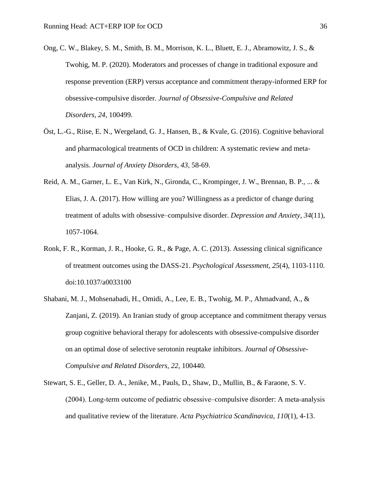- Ong, C. W., Blakey, S. M., Smith, B. M., Morrison, K. L., Bluett, E. J., Abramowitz, J. S., & Twohig, M. P. (2020). Moderators and processes of change in traditional exposure and response prevention (ERP) versus acceptance and commitment therapy-informed ERP for obsessive-compulsive disorder. *Journal of Obsessive-Compulsive and Related Disorders*, *24*, 100499.
- Öst, L.-G., Riise, E. N., Wergeland, G. J., Hansen, B., & Kvale, G. (2016). Cognitive behavioral and pharmacological treatments of OCD in children: A systematic review and metaanalysis. *Journal of Anxiety Disorders*, *43*, 58-69.
- Reid, A. M., Garner, L. E., Van Kirk, N., Gironda, C., Krompinger, J. W., Brennan, B. P., ... & Elias, J. A. (2017). How willing are you? Willingness as a predictor of change during treatment of adults with obsessive–compulsive disorder. *Depression and Anxiety*, *34*(11), 1057-1064.
- Ronk, F. R., Korman, J. R., Hooke, G. R., & Page, A. C. (2013). Assessing clinical significance of treatment outcomes using the DASS-21. *Psychological Assessment, 25*(4), 1103-1110. doi:10.1037/a0033100
- Shabani, M. J., Mohsenabadi, H., Omidi, A., Lee, E. B., Twohig, M. P., Ahmadvand, A., & Zanjani, Z. (2019). An Iranian study of group acceptance and commitment therapy versus group cognitive behavioral therapy for adolescents with obsessive-compulsive disorder on an optimal dose of selective serotonin reuptake inhibitors. *Journal of Obsessive-Compulsive and Related Disorders, 22*, 100440.
- Stewart, S. E., Geller, D. A., Jenike, M., Pauls, D., Shaw, D., Mullin, B., & Faraone, S. V. (2004). Long‐term outcome of pediatric obsessive–compulsive disorder: A meta‐analysis and qualitative review of the literature. *Acta Psychiatrica Scandinavica*, *110*(1), 4-13.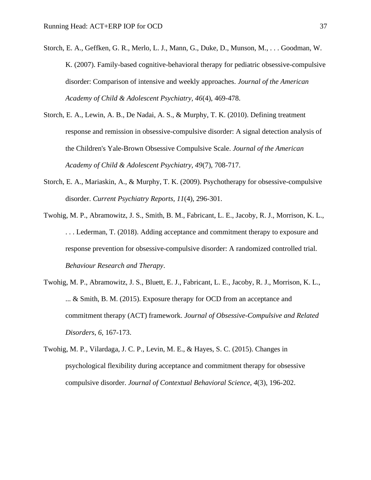- Storch, E. A., Geffken, G. R., Merlo, L. J., Mann, G., Duke, D., Munson, M., . . . Goodman, W. K. (2007). Family-based cognitive-behavioral therapy for pediatric obsessive-compulsive disorder: Comparison of intensive and weekly approaches. *Journal of the American Academy of Child & Adolescent Psychiatry, 46*(4), 469-478.
- Storch, E. A., Lewin, A. B., De Nadai, A. S., & Murphy, T. K. (2010). Defining treatment response and remission in obsessive-compulsive disorder: A signal detection analysis of the Children's Yale-Brown Obsessive Compulsive Scale. *Journal of the American Academy of Child & Adolescent Psychiatry, 49*(7), 708-717.
- Storch, E. A., Mariaskin, A., & Murphy, T. K. (2009). Psychotherapy for obsessive-compulsive disorder. *Current Psychiatry Reports, 11*(4), 296-301.
- Twohig, M. P., Abramowitz, J. S., Smith, B. M., Fabricant, L. E., Jacoby, R. J., Morrison, K. L., . . . Lederman, T. (2018). Adding acceptance and commitment therapy to exposure and response prevention for obsessive-compulsive disorder: A randomized controlled trial. *Behaviour Research and Therapy*.
- Twohig, M. P., Abramowitz, J. S., Bluett, E. J., Fabricant, L. E., Jacoby, R. J., Morrison, K. L., ... & Smith, B. M. (2015). Exposure therapy for OCD from an acceptance and commitment therapy (ACT) framework. *Journal of Obsessive-Compulsive and Related Disorders*, *6*, 167-173.
- Twohig, M. P., Vilardaga, J. C. P., Levin, M. E., & Hayes, S. C. (2015). Changes in psychological flexibility during acceptance and commitment therapy for obsessive compulsive disorder. *Journal of Contextual Behavioral Science*, *4*(3), 196-202.